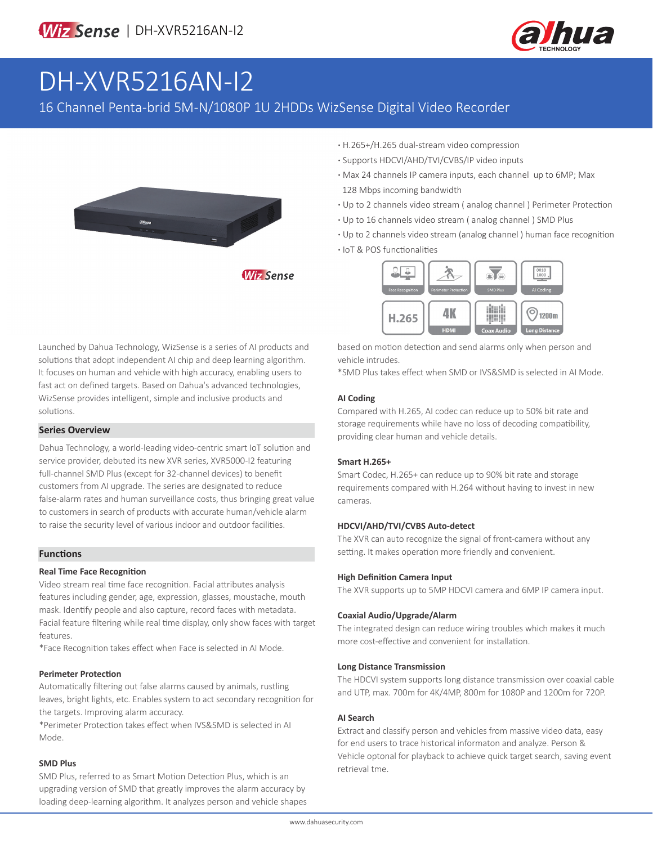

# DH-XVR5216AN-I2

### 16 Channel Penta-brid 5M-N/1080P 1U 2HDDs WizSense Digital Video Recorder



**·** H.265+/H.265 dual-stream video compression

- **·** Supports HDCVI/AHD/TVI/CVBS/IP video inputs
- **·** Max 24 channels IP camera inputs, each channel up to 6MP; Max 128 Mbps incoming bandwidth
- **·** Up to 2 channels video stream ( analog channel ) Perimeter Protection
- **·** Up to 16 channels video stream ( analog channel ) SMD Plus
- **·** Up to 2 channels video stream (analog channel ) human face recognition
- **·** IoT & POS functionalities



Launched by Dahua Technology, WizSense is a series of AI products and solutions that adopt independent AI chip and deep learning algorithm. It focuses on human and vehicle with high accuracy, enabling users to fast act on defined targets. Based on Dahua's advanced technologies,

WizSense provides intelligent, simple and inclusive products and solutions.

#### **Series Overview**

Dahua Technology, a world-leading video-centric smart IoT solution and service provider, debuted its new XVR series, XVR5000-I2 featuring full-channel SMD Plus (except for 32-channel devices) to benefit customers from AI upgrade. The series are designated to reduce false-alarm rates and human surveillance costs, thus bringing great value to customers in search of products with accurate human/vehicle alarm to raise the security level of various indoor and outdoor facilities.

#### **Functions**

#### **Real Time Face Recognition**

Video stream real time face recognition. Facial attributes analysis features including gender, age, expression, glasses, moustache, mouth mask. Identify people and also capture, record faces with metadata. Facial feature filtering while real time display, only show faces with target features.

\*Face Recognition takes effect when Face is selected in AI Mode.

#### **Perimeter Protection**

Automatically filtering out false alarms caused by animals, rustling leaves, bright lights, etc. Enables system to act secondary recognition for the targets. Improving alarm accuracy.

\*Perimeter Protection takes effect when IVS&SMD is selected in AI Mode.

#### **SMD Plus**

SMD Plus, referred to as Smart Motion Detection Plus, which is an upgrading version of SMD that greatly improves the alarm accuracy by loading deep-learning algorithm. It analyzes person and vehicle shapes based on motion detection and send alarms only when person and vehicle intrudes.

\*SMD Plus takes effect when SMD or IVS&SMD is selected in AI Mode.

#### **AI Coding**

Compared with H.265, AI codec can reduce up to 50% bit rate and storage requirements while have no loss of decoding compatibility, providing clear human and vehicle details.

#### **Smart H.265+**

Smart Codec, H.265+ can reduce up to 90% bit rate and storage requirements compared with H.264 without having to invest in new cameras.

#### **HDCVI/AHD/TVI/CVBS Auto-detect**

The XVR can auto recognize the signal of front-camera without any setting. It makes operation more friendly and convenient.

#### **High Definition Camera Input**

The XVR supports up to 5MP HDCVI camera and 6MP IP camera input.

#### **Coaxial Audio/Upgrade/Alarm**

The integrated design can reduce wiring troubles which makes it much more cost-effective and convenient for installation.

#### **Long Distance Transmission**

The HDCVI system supports long distance transmission over coaxial cable and UTP, max. 700m for 4K/4MP, 800m for 1080P and 1200m for 720P.

#### **AI Search**

Extract and classify person and vehicles from massive video data, easy for end users to trace historical informaton and analyze. Person & Vehicle optonal for playback to achieve quick target search, saving event retrieval tme.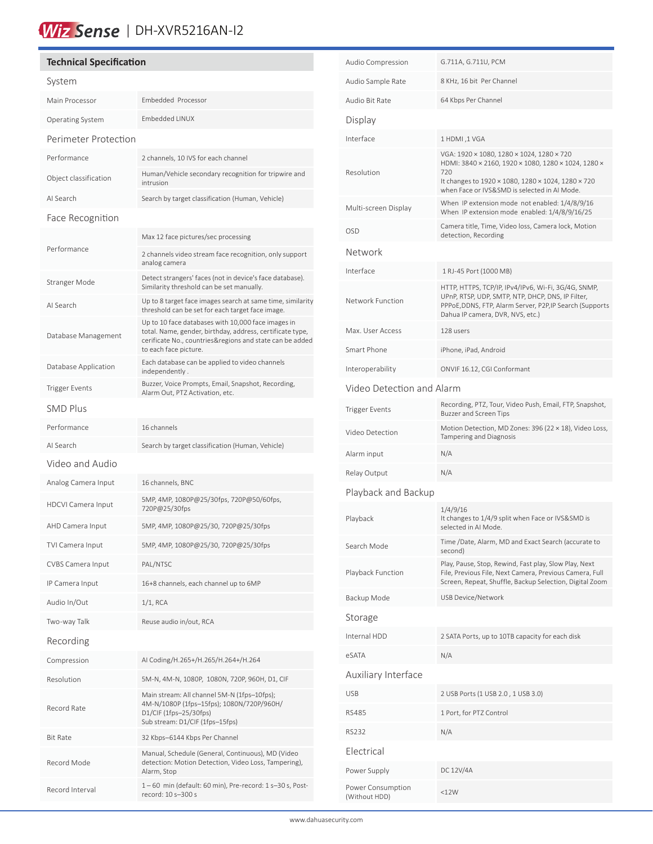## Wiz Sense | DH-XVR5216AN-I2

#### **Technical Specification** System Main Processor Embedded Processor Operating System Embedded LINUX Perimeter Protection Performance 2 channels, 10 IVS for each channel Object classification Human/Vehicle secondary recognition for tripwire and intrusion AI Search Search by target classification (Human, Vehicle) Face Recognition Performance Max 12 face pictures/sec processing 2 channels video stream face recognition, only support analog camera Stranger Mode Detect strangers' faces (not in device's face database). Similarity threshold can be set manually. AI Search Up to 8 target face images search at same time, similarity threshold can be set for each target face image. Database Management Up to 10 face databases with 10,000 face images in total. Name, gender, birthday, address, certificate type, cerificate No., countries&regions and state can be added to each face picture. Database Application Each database can be applied to video channels independently . Trigger Events<br>Alarm Out, BTZ Astivation ata Alarm Out, PTZ Activation, etc. SMD Plus Performance 16 channels AI Search Search by target classification (Human, Vehicle) Video and Audio Analog Camera Input 16 channels, BNC HDCVI Camera Input 5MP, 4MP, 1080P@25/30fps, 720P@50/60fps, 720P@25/30fps AHD Camera Input 5MP, 4MP, 1080P@25/30, 720P@25/30fps TVI Camera Input 5MP, 4MP, 1080P@25/30, 720P@25/30fps CVBS Camera Input PAL/NTSC IP Camera Input 16+8 channels, each channel up to 6MP Audio In/Out 1/1, RCA Two-way Talk Reuse audio in/out, RCA Recording Compression AI Coding/H.265+/H.265/H.264+/H.264 Resolution 5M-N, 4M-N, 1080P, 1080N, 720P, 960H, D1, CIF Record Rate Main stream: All channel 5M-N (1fps–10fps); 4M-N/1080P (1fps–15fps); 1080N/720P/960H/ D1/CIF (1fps–25/30fps) Sub stream: D1/CIF (1fps–15fps) Bit Rate 32 Kbps–6144 Kbps Per Channel Record Mode Manual, Schedule (General, Continuous), MD (Video detection: Motion Detection, Video Loss, Tampering), Alarm, Stop  $1 - 60$  min (default: 60 min), Pre-record: 1 s-30 s, Post-<br> $200 - 300$  s record: 10 s–300 s

| Audio Compression                  | G.711A, G.711U, PCM                                                                                                                                                                                      |  |  |
|------------------------------------|----------------------------------------------------------------------------------------------------------------------------------------------------------------------------------------------------------|--|--|
| Audio Sample Rate                  | 8 KHz, 16 bit Per Channel                                                                                                                                                                                |  |  |
| Audio Bit Rate                     | 64 Kbps Per Channel                                                                                                                                                                                      |  |  |
| Display                            |                                                                                                                                                                                                          |  |  |
| Interface                          | 1 HDMI, 1 VGA                                                                                                                                                                                            |  |  |
| Resolution                         | VGA: 1920 × 1080, 1280 × 1024, 1280 × 720<br>HDMI: 3840 × 2160, 1920 × 1080, 1280 × 1024, 1280 ×<br>720                                                                                                  |  |  |
|                                    | It changes to 1920 × 1080, 1280 × 1024, 1280 × 720<br>when Face or IVS&SMD is selected in AI Mode.                                                                                                       |  |  |
| Multi-screen Display               | When IP extension mode not enabled: 1/4/8/9/16<br>When IP extension mode enabled: 1/4/8/9/16/25                                                                                                          |  |  |
| <b>OSD</b>                         | Camera title, Time, Video loss, Camera lock, Motion<br>detection, Recording                                                                                                                              |  |  |
| Network                            |                                                                                                                                                                                                          |  |  |
| Interface                          | 1 RJ-45 Port (1000 MB)                                                                                                                                                                                   |  |  |
| Network Function                   | HTTP, HTTPS, TCP/IP, IPv4/IPv6, Wi-Fi, 3G/4G, SNMP,<br>UPnP, RTSP, UDP, SMTP, NTP, DHCP, DNS, IP Filter,<br>PPPoE, DDNS, FTP, Alarm Server, P2P, IP Search (Supports<br>Dahua IP camera, DVR, NVS, etc.) |  |  |
| Max. User Access                   | 128 users                                                                                                                                                                                                |  |  |
| Smart Phone                        | iPhone, iPad, Android                                                                                                                                                                                    |  |  |
| Interoperability                   | ONVIF 16.12, CGI Conformant                                                                                                                                                                              |  |  |
| Video Detection and Alarm          |                                                                                                                                                                                                          |  |  |
| <b>Trigger Events</b>              | Recording, PTZ, Tour, Video Push, Email, FTP, Snapshot,<br>Buzzer and Screen Tips                                                                                                                        |  |  |
| Video Detection                    | Motion Detection, MD Zones: 396 (22 × 18), Video Loss,<br>Tampering and Diagnosis                                                                                                                        |  |  |
| Alarm input                        | N/A                                                                                                                                                                                                      |  |  |
| Relay Output                       | N/A                                                                                                                                                                                                      |  |  |
| Playback and Backup                |                                                                                                                                                                                                          |  |  |
| Playback                           | 1/4/9/16<br>It changes to 1/4/9 split when Face or IVS&SMD is<br>selected in Al Mode.                                                                                                                    |  |  |
| Search Mode                        | Time /Date, Alarm, MD and Exact Search (accurate to<br>second)                                                                                                                                           |  |  |
| Playback Function                  | Play, Pause, Stop, Rewind, Fast play, Slow Play, Next<br>File, Previous File, Next Camera, Previous Camera, Full<br>Screen, Repeat, Shuffle, Backup Selection, Digital Zoom                              |  |  |
| Backup Mode                        | USB Device/Network                                                                                                                                                                                       |  |  |
| Storage                            |                                                                                                                                                                                                          |  |  |
| Internal HDD                       | 2 SATA Ports, up to 10TB capacity for each disk                                                                                                                                                          |  |  |
| eSATA                              | N/A                                                                                                                                                                                                      |  |  |
| Auxiliary Interface                |                                                                                                                                                                                                          |  |  |
| <b>USB</b>                         | 2 USB Ports (1 USB 2.0, 1 USB 3.0)                                                                                                                                                                       |  |  |
| <b>RS485</b>                       | 1 Port, for PTZ Control                                                                                                                                                                                  |  |  |
| <b>RS232</b>                       | N/A                                                                                                                                                                                                      |  |  |
| Electrical                         |                                                                                                                                                                                                          |  |  |
| Power Supply                       | DC 12V/4A                                                                                                                                                                                                |  |  |
| Power Consumption<br>(Without HDD) | <12W                                                                                                                                                                                                     |  |  |